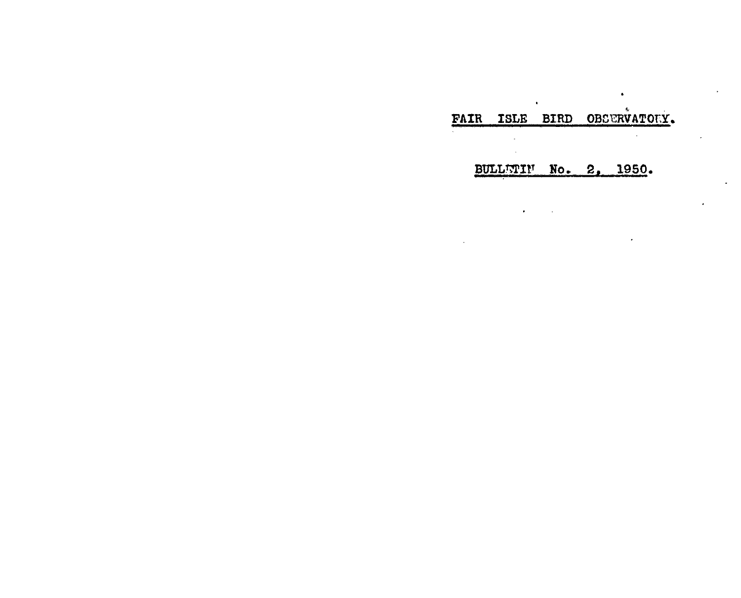# FAIR ISLE BIRD OBSERVATORY.

 $\mathbf{r}$ 

 $\sim$ 

 $\bullet$  .

 $\bullet$ 

 $\epsilon$ 

 $\epsilon$ 

BULLWIN No. 2, 1950.

 $\sim 10$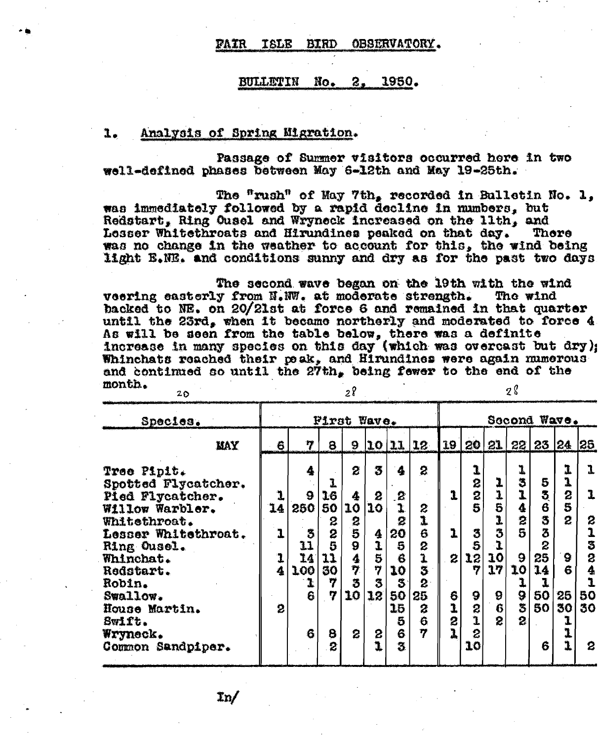#### OBSERVATORY. **FAIR BIRD TSLE**

#### BULLETIN  $\mathrm{No}_{\bullet}$  $\mathbf{z}$ . 1950.

### Analysis of Spring Migration. 1.

Passage of Summer visitors occurred here in two well-defined phases between May 6-12th and May 19-25th.

The "rush" of May 7th, recorded in Bulletin No. 1, was immediately followed by a rapid decline in numbers, but Redstart, Ring Ousel and Wryneck increased on the lith, and Losser Whitethroats and Hirundines peaked on that day. Thore was no change in the weather to account for this, the wind being light B.NE. and conditions sunny and dry as for the past two days

The second wave began on the 19th with the wind veering easterly from N.WW. at moderate strength. The wind backed to NE. on 20/21st at force 6 and remained in that quarter until the 23rd, when it became northerly and moderated to force 4 As will be seen from the table below, there was a definite increase in many species on this day (which was overcast but dry); Whinchats reached their peak, and Hirundines were again mumerous and continued so until the 27th, being fewer to the end of the month.  $28$ 28  $20$ 

| Species.                                                                                                                                                                                                               | First Wave.            |                                                             |                                                         |                                                               |                                                                                  |                                                                            |                                                                  | Second Wave.     |                                                                                                     |                                                                                                               |                                                             |                                                                      |                                                          |                                                                                                       |
|------------------------------------------------------------------------------------------------------------------------------------------------------------------------------------------------------------------------|------------------------|-------------------------------------------------------------|---------------------------------------------------------|---------------------------------------------------------------|----------------------------------------------------------------------------------|----------------------------------------------------------------------------|------------------------------------------------------------------|------------------|-----------------------------------------------------------------------------------------------------|---------------------------------------------------------------------------------------------------------------|-------------------------------------------------------------|----------------------------------------------------------------------|----------------------------------------------------------|-------------------------------------------------------------------------------------------------------|
| <b>MAY</b>                                                                                                                                                                                                             | 6                      | 7                                                           | 8                                                       | 9                                                             |                                                                                  | 10 11                                                                      | 12                                                               | 19               |                                                                                                     | 20 21                                                                                                         |                                                             | 22 23 24                                                             |                                                          | 25                                                                                                    |
| Tree Pipit.<br>Spotted Flycatcher.<br>Pied Flycatcher.<br>Willow Warbler.<br>Whitethroat.<br>Lesser Whitethroat.<br>Ring Ousel.<br>Whinchat.<br>Redstart.<br>Robin.<br>Swallow.<br>House Martin.<br>Swift.<br>Wryneck. | 1<br>14<br>1<br>4<br>2 | 4<br>9<br>250<br>3<br>11<br>14<br><b>100</b><br>ł<br>6<br>6 | 1<br>16<br>50<br>2<br>2<br>5<br>11<br>30<br>7<br>7<br>8 | 2<br>4<br>10<br>2<br>5<br>$\dot{9}$<br>4<br>7<br>5<br>10<br>2 | 3<br>2<br>$ 10\rangle$<br>4<br>1<br>$\overline{\mathbf{5}}$<br>7<br>3<br>12<br>2 | 4<br>.2<br>2<br>20<br>5<br>6<br>10<br>$\mathfrak{F}$<br>50<br>15<br>5<br>6 | 2<br>$\frac{2}{3}$<br>6<br>8<br>1<br>3<br>2<br>25<br>2<br>Ġ<br>7 | 2<br>6<br>1<br>2 | 1<br>2<br>$\overline{\mathbf{c}}$<br>5<br>3<br>5<br>12<br>7<br>9<br>$\frac{2}{1}$<br>$\overline{z}$ | $\frac{1}{1}$<br>$\overline{\bf{5}}$<br>ı<br>3<br>ĩ<br>10<br>17<br>9<br>$\ddot{\mathbf{G}}$<br>$\overline{2}$ | 1<br>3<br>4<br>2<br>9<br>10<br>ı<br>9<br>\$<br>$\mathbf{2}$ | 5<br>3<br>$\overline{6}$<br>3<br>3<br>2<br>25<br>14<br>ı<br>50<br>50 | 1<br>1<br>$\overline{c}$<br>5<br>2<br>9<br>Ĝ<br>25<br>30 | $\mathbf{I}$<br>1<br>$\boldsymbol{z}$<br>.<br>1<br>Ŝ<br>$\overline{\mathbf{z}}$<br>4<br>ī<br>50<br>30 |
| Common Sandpiper.                                                                                                                                                                                                      |                        |                                                             | 2                                                       |                                                               |                                                                                  | 3.                                                                         |                                                                  |                  | 10 <sub>1</sub>                                                                                     |                                                                                                               |                                                             | 6                                                                    | 1                                                        | $\mathbf{c}$                                                                                          |

 $\mathbf{In}$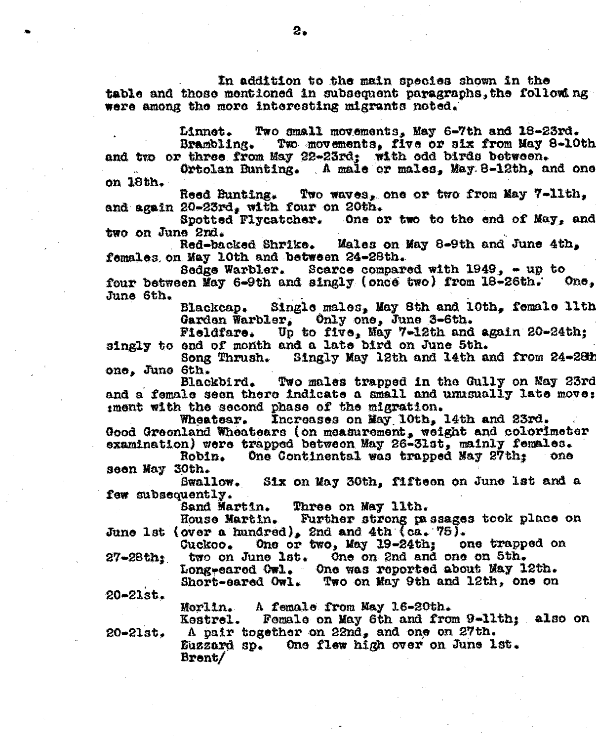In addition to the main species shown in the table and those mentioned in subsequent paragraphs, the following were among the more interesting migrants noted.

Linnet. Two small movements, May 6-7th and 18-23rd. Two movements, five or six from May 8-10th Brambling. and two or three from May 22-23rd: with odd birds between.

Ortolan Bunting. A male or males, May 8-12th, and one on 18th.

Two waves, one or two from May 7-11th, Reed Bunting. and again 20-23rd, with four on 20th.

Spotted Flycatcher. One or two to the end of May, and two on June 2nd.

Males on May 8-9th and June 4th. Red-backed Shrike. females on May 10th and between 24-28th.

Sedge Warbler. Scarce compared with 1949, - up to four between May 6-9th and singly (once two) from 18-26th. One, June 6th.

Single males, May 8th and 10th, female lith Blackcap. Garden Warbler, Only one, June 3-6th.

Up to five, May 7-12th and again 20-24th: Fieldfare. singly to end of month and a late bird on June 5th.

Song Thrush. Singly May 12th and 14th and from 24-28th one, June 6th.

Blackbird. Two males trapped in the Gully on May 23rd and a female seen there indicate a small and unusually late move: iment with the second phase of the migration.

Increases on May 10th, 14th and 23rd. Wheatear. Good Greenland Wheatears (on measurement, weight and colorimeter examination) were trapped between May 26-31st, mainly females.

One Continental was trapped May 27th: one Robin. seen May 30th.

**Swallow.** Six on May 30th, fifteen on June 1st and a few subsequently.

> Sand Martin. Three on May 11th.

Further strong passages took place on **House Martin.** June 1st (over a hundred), 2nd and 4th (ca. 75).

One or two, May 19-24th; one trapped on **Guckoo.** two on June lst. One on 2nd and one on 5th.  $27-28th$ :

Long-eared Owl. One was reported about May 12th. Short-eared Owl. Two on May 9th and 12th, one on

 $20 - 21st.$ 

A female from May 16-20th. Morlin.

Female on May 6th and from 9-11th: also on Kestrel. A pair together on 22nd, and one on 27th.

 $20 - 21st.$ 

Euzzard sp. One flew high over on June 1st. Brent/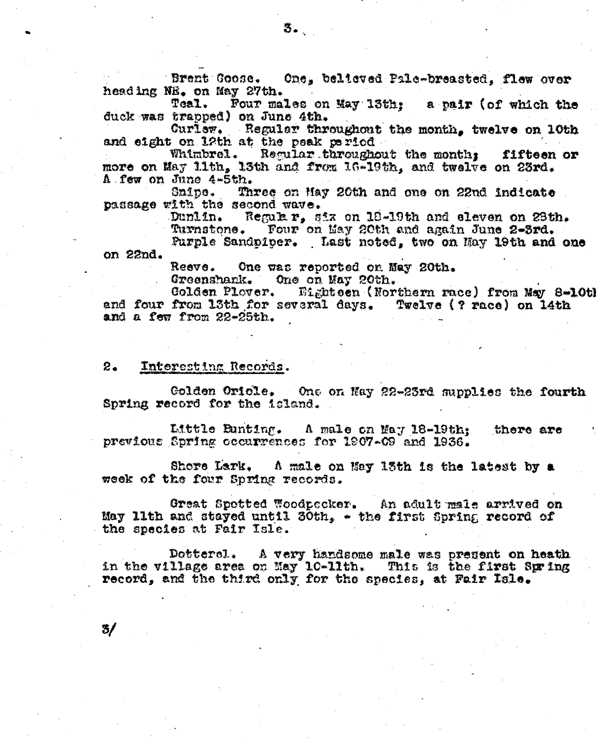Brent Coose. One, believed Pale-breasted, flew over heading NE. on May 27th.

Teal. Four males on May 13th: a pair (of which the duck was trapped) on June 4th.

Curlsw. Regular throughout the month, twelve on 10th

and eight on 12th at the peak period<br>Whimbrel. Regular throughout the months fifteen<br>more on May 11th, 13th and from 16-19th, and twelve on 23rd. fifteen or A few on June 4-5th.

Snipe. Three on May 20th and one on 22nd indicate. passage with the second wave.

Dunlin. Regular, six on 18-19th and eleven on 28th. Turnstone. Four on May 20th and again June 2-3rd.

Purple Sandpiper. Last noted, two on Hay 19th and one on 22nd.

Reeve. One was reported on May 20th.

Greenshank. One on May 20th.

Golden Plover. Eighteen (Northern race) from May 8-10tl and four from 13th for several days. Twelve (? race) on 14th and a few from 22-25th.

#### 2. Interesting Records.

 $3/$ 

Colden Oriole. One on Nay 22-23rd supplies the fourth Spring record for the island.

Little Bunting. A male on May 18-19th; there are previous Spring occurrences for 1907-09 and 1936.

Shore Lark. A male on May 13th is the latest by a week of the four Spring records.

Great Spotted Woodpecker. An adult male arrived on May 11th and stayed until 30th, - the first Spring record of the species at Fair Isle.

Dotterel. A very handsome male was present on heath in the village area on May 10-11th. This is the first Spring record, and the third only for the species, at Fair Isle.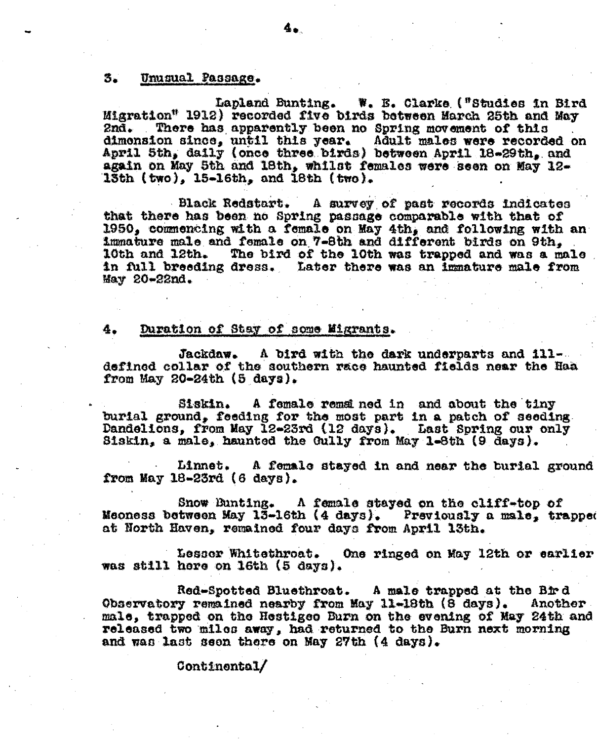### Unusual Passage. <sub>25</sub>

Lapland Bunting. W. E. Clarke ("Studies in Bird Migration" 1912) recorded five birds between March 25th and May 2nd. There has apparently been no Spring movement of this dimension since, until this year. Adult males were recorded on April 5th, daily (once three birds) between April 18-29th, and again on May 5th and 18th, whilst females were seen on May 12-13th (two), 15-16th, and 18th (two).

**Black Redstart.** A survey of past records indicates that there has been no Spring passage comparable with that of 1950, commending with a female on May 4th, and following with an immature male and female on 7-8th and different birds on 9th. The bird of the 10th was trapped and was a male 10th and 12th. in full breeding dress. Later there was an immature male from May 20-22nd.

#### Duration of Stay of some Migrants. 4.

Jackdaw. A bird with the dark underparts and illdefined collar of the southern race haunted fields near the Haa from May 20-24th (5 days).

Siskin. A female remained in and about the tiny burial ground, feeding for the most part in a patch of seeding. Dandelions, from May 12-23rd (12 days). Last Spring our only Siskin, a male, haunted the Gully from May 1-8th (9 days).

Linnet. A female stayed in and near the burial ground from May 18-23rd (6 days).

Snow Bunting. A female stayed on the cliff-top of Meoness between May 13-16th (4 days). Previously a male, trapped at North Haven, remained four days from April 13th.

Lessor Whitethroat. One ringed on May 12th or earlier was still here on 16th (5 days).

Red-Spotted Bluethroat. A male trapped at the Bird Observatory remained nearby from May 11-18th (8 days). Another male, trapped on the Hestigeo Burn on the evening of May 24th and released two miles away, had returned to the Burn next morning and was last seen there on May 27th (4 days).

### **Continental/**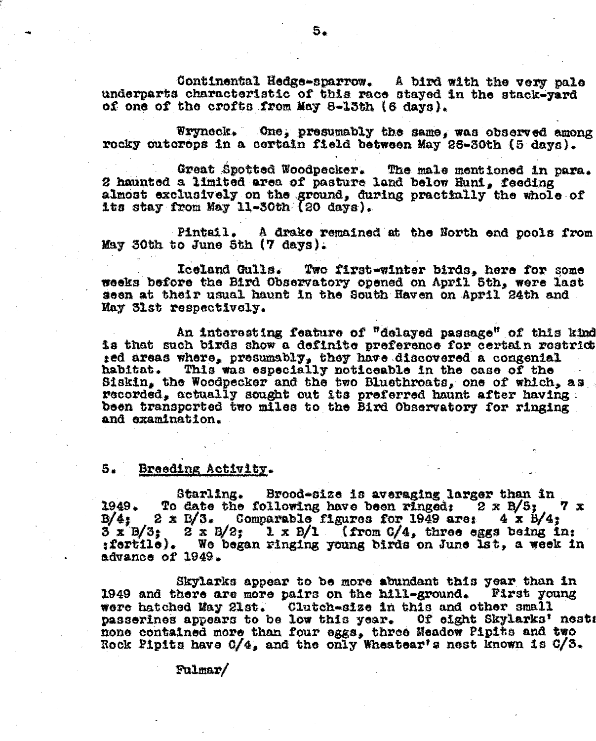Continental Hedge-sparrow. A bird with the very pale underparts characteristic of this race stayed in the stack-yard of one of the crofts from May 8-13th (6 days).

Wryneck. One, presumably the same, was observed among rocky outcrops in a certain field between May 26-30th (5 days).

Great Spotted Woodpecker. The male mentioned in para. 2 haunted a limited area of pasture land below Huni, feeding almost exclusively on the ground, during practfully the whole of its stay from May 11-30th (20 days).

Pintail. A drake remained at the North end pools from May 30th to June 5th (7 days).

Iceland Gulls. Two first-winter birds, here for some weeks before the Bird Observatory opened on April 5th, were last seen at their usual haunt in the South Haven on April 24th and May 31st respectively.

An interesting feature of "delayed passage" of this kind is that such birds show a definite preference for certain restrict ted areas where, presumably, they have discovered a congenial This was especially noticeable in the case of the habitat. Siskin, the Woodpecker and the two Bluethroats, one of which, as recorded, actually sought out its preferred haunt after having. been transported two miles to the Bird Observatory for ringing and examination.

#### 5. Breeding Activity.

Starling. Brood-size is averaging larger than in To date the following have been ringed:  $2 \times B/5$ ;  $7x$ 1949.  $2 \times 5/3$ . Comparable figures for 1949 are:  $4 \times 5/4$ ;  $B/4$ :  $3 \times B/3$ ;  $2 \times B/2$ ;  $1 \times B/1$  (from  $C/4$ , three eggs peing in:<br>:fertile). We began ringing young birds on June 1st, a week in advance of 1949.

Skylarks appear to be more abundant this year than in 1949 and there are more pairs on the hill-ground. First young were hatched May 21st. Clutch-size in this and other small passerines appears to be low this year. Of eight Skylarks' nests none contained more than four eggs, three Meadow Pipits and two Rock Pipits have 0/4, and the only Wheatear's nest known is 0/3.

 $Fulmar/$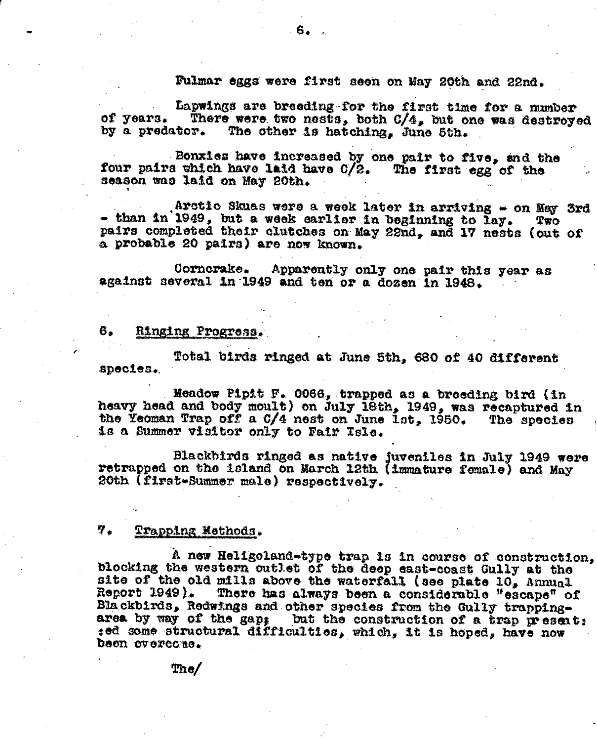## Fulmar eggs were first seen on May 20th and 22nd.

Lapwings are breeding for the first time for a number There were two nests, both C/4, but one was destroyed of years. The other is hatching, June 5th. by a predator.

Bonxies have increased by one pair to five, and the four pairs which have laid have C/2. The first egg of the season was laid on May 20th.

Arctic Skuas were a week later in arriving - on May 3rd - than in 1949, but a week earlier in beginning to lay.  $T_{\rm WO}$ pairs completed their clutches on May 22nd, and 17 nests (out of a probable 20 pairs) are now known.

Cornerake. Apparently only one pair this year as against several in 1949 and ten or a dozen in 1948.

#### 6. Ringing Progress.

Total birds ringed at June 5th, 680 of 40 different species.

Meadow Pipit F. 0066, trapped as a breeding bird (in heavy head and body moult) on July 18th, 1949, was recaptured in the Yeoman Trap off a C/4 nest on June 1st. 1950. The species is a Summer visitor only to Fair Isle.

Blackbirds ringed as native juveniles in July 1949 were<br>retrapped on the island on March 12th (immature female) and May 20th (first-Summer male) respectively.

### 7. Trapping Methods.

A new Heligoland-type trap is in course of construction, blocking the western outlet of the deep east-coast Gully at the site of the old mills above the waterfall (see plate 10, Annual Report 1949). There has always been a considerable "escape" of Blackbirds, Redwings and other species from the Gully trappingarea by way of the gap: but the construction of a trap present: :ed some structural difficulties, which, it is hoped, have now been overcone.

The/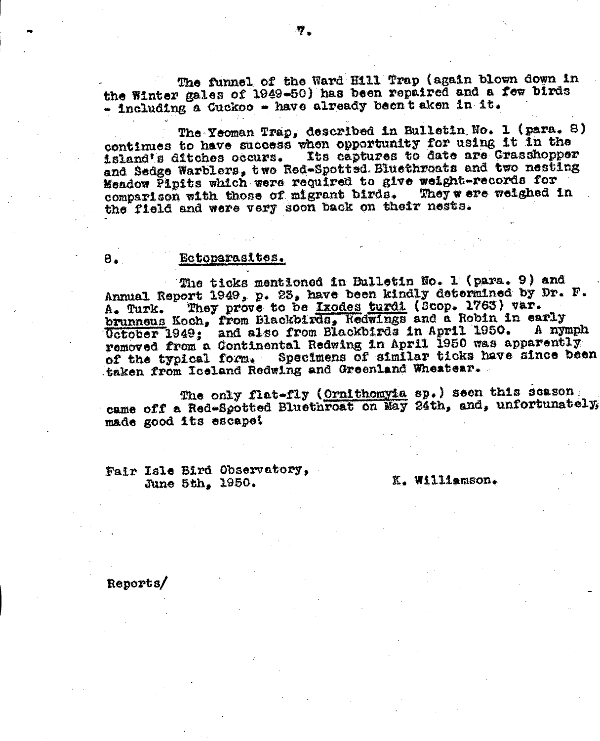The funnel of the Ward Hill Trap (again blown down in the Winter gales of 1949-50) has been repaired and a few birds - including a Cuckoo - have already beent aken in it.

The Yeoman Trap, described in Bulletin No. 1 (para. 8) continues to have success when opportunity for using it in the island's ditches occurs. Its captures to date are Crasshopper and Sadge Warblers, two Red-Spottsd. Bluethroats and two nesting Meadow Pipits which were required to give weight-records for comparison with those of migrant birds. They were weighed in the field and were very soon back on their nests.

### Ectoparasites.

The ticks mentioned in Bulletin No. 1 (para. 9) and Annual Report 1949, p. 23, have been kindly determined by Dr. F. They prove to be Ixodes turdi (Scop. 1763) var. A. Turk. brunneus Koch, from Blackbirds, Redwings and a Robin in early Uctober 1949; and also from Blackbirds in April 1950. A nymph removed from a Continental Redwing in April 1950 was apparently of the typical form. Specimens of similar ticks have since been taken from Iceland Redwing and Greenland Wheatear.

The only flat-fly (Ornithomyia sp.) seen this season came off a Red-Spotted Bluethroat on May 24th, and, unfortunately, made good its escape!

Fair Isle Bird Observatory, June 5th, 1950.

K. Williamson.

Reports/

8.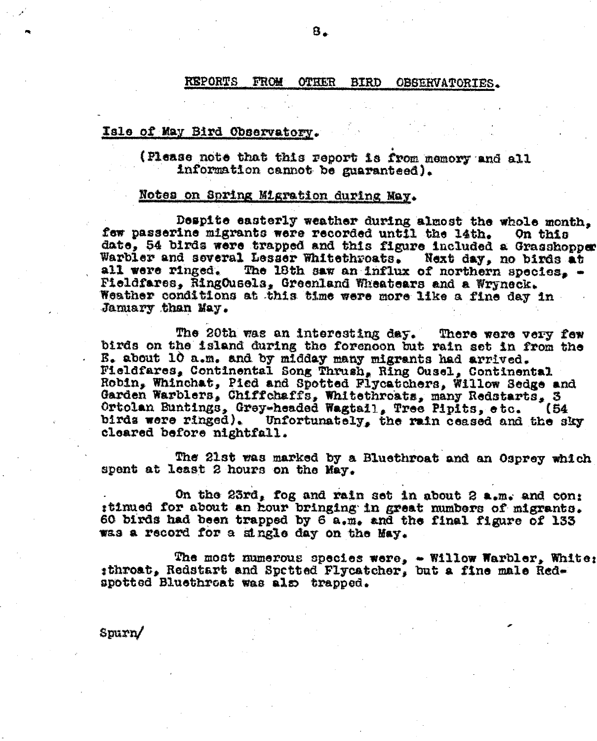**REPORTS** FROM **OTHER** BIRD OBSERVATORIES.

### Isle of May Bird Observatory.

(Please note that this report is from memory and all information cannot be guaranteed).

### Notes on Spring Migration during May.

Despite easterly weather during almost the whole month. few passerine migrants were recorded until the lath. On this date, 54 birds were trapped and this figure included a Grasshopper Warbler and several Lesser Whitethroats. Next day, no birds at The 18th saw an influx of northern species.  $$ all were ringed. Fieldfares, RingOusels, Greenland Wheatears and a Wryneck. Weather conditions at this time were more like a fine day in Jamuary than May.

The 20th was an interesting day. There were very few birds on the island during the forenoon but rain set in from the E. about 10 a.m. and by midday many migrants had arrived. Fieldfares, Continental Song Thrush, Ring Ousel, Continental Robin, Whinchat, Pied and Spotted Flycatchers, Willow Sedge and Garden Warblers, Chiffchaffs, Whitethroats, many Redstarts, 3 Ortolan Buntings, Grey-headed Wagtail, Tree Pipits, etc. (54) birds were ringed). Unfortunately, the rain ceased and the sky cleared before nightfall.

The 21st was marked by a Bluethroat and an Osprey which spent at least 2 hours on the May.

On the 23rd, fog and rain set in about 2 a.m. and con: :tinued for about an hour bringing in great numbers of migrants. 60 birds had been trapped by 6 a.m. and the final figure of 133 was a record for a single day on the May.

The most numerous species were,  $\sim$  Willow Warbler, White: sthroat, Redstart and Spetted Flycatcher, but a fine male Redspotted Bluethroat was also trapped.

 $S<sub>purn</sub>$